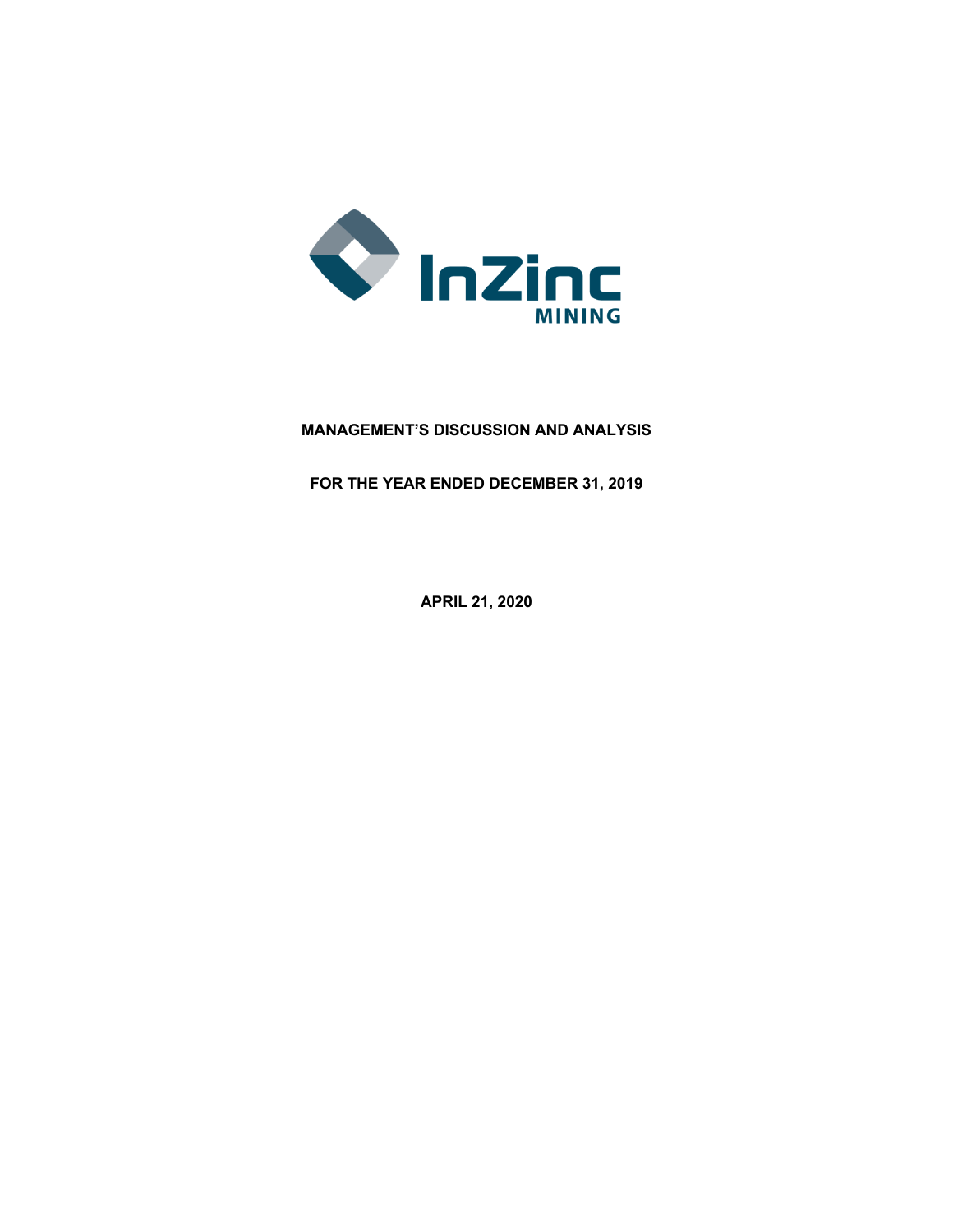

# **MANAGEMENT'S DISCUSSION AND ANALYSIS**

**FOR THE YEAR ENDED DECEMBER 31, 2019**

**APRIL 21, 2020**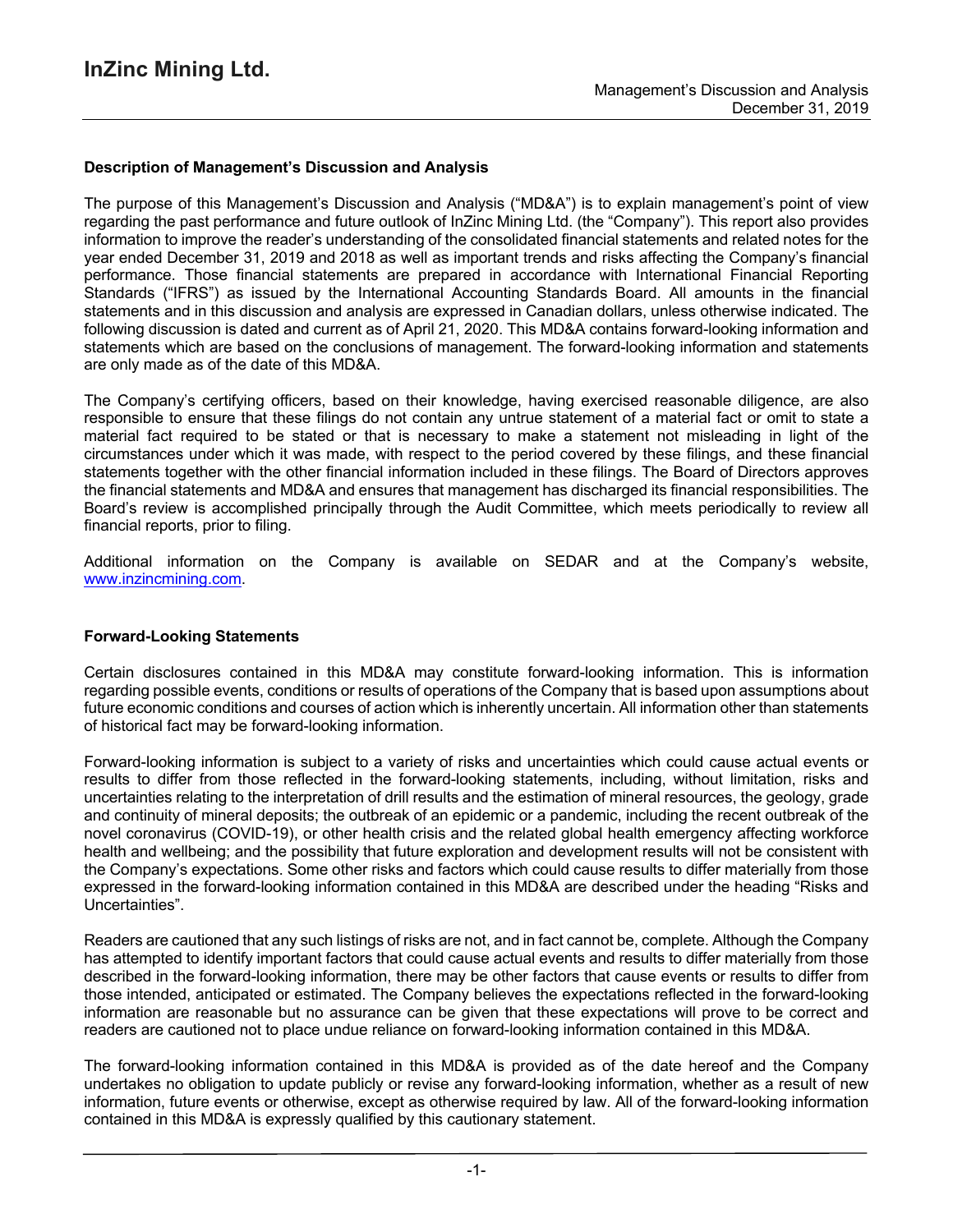### **Description of Management's Discussion and Analysis**

The purpose of this Management's Discussion and Analysis ("MD&A") is to explain management's point of view regarding the past performance and future outlook of InZinc Mining Ltd. (the "Company"). This report also provides information to improve the reader's understanding of the consolidated financial statements and related notes for the year ended December 31, 2019 and 2018 as well as important trends and risks affecting the Company's financial performance. Those financial statements are prepared in accordance with International Financial Reporting Standards ("IFRS") as issued by the International Accounting Standards Board. All amounts in the financial statements and in this discussion and analysis are expressed in Canadian dollars, unless otherwise indicated. The following discussion is dated and current as of April 21, 2020. This MD&A contains forward-looking information and statements which are based on the conclusions of management. The forward-looking information and statements are only made as of the date of this MD&A.

The Company's certifying officers, based on their knowledge, having exercised reasonable diligence, are also responsible to ensure that these filings do not contain any untrue statement of a material fact or omit to state a material fact required to be stated or that is necessary to make a statement not misleading in light of the circumstances under which it was made, with respect to the period covered by these filings, and these financial statements together with the other financial information included in these filings. The Board of Directors approves the financial statements and MD&A and ensures that management has discharged its financial responsibilities. The Board's review is accomplished principally through the Audit Committee, which meets periodically to review all financial reports, prior to filing.

Additional information on the Company is available on SEDAR and at the Company's website, www.inzincmining.com.

#### **Forward-Looking Statements**

Certain disclosures contained in this MD&A may constitute forward-looking information. This is information regarding possible events, conditions or results of operations of the Company that is based upon assumptions about future economic conditions and courses of action which is inherently uncertain. All information other than statements of historical fact may be forward-looking information.

Forward-looking information is subject to a variety of risks and uncertainties which could cause actual events or results to differ from those reflected in the forward-looking statements, including, without limitation, risks and uncertainties relating to the interpretation of drill results and the estimation of mineral resources, the geology, grade and continuity of mineral deposits; the outbreak of an epidemic or a pandemic, including the recent outbreak of the novel coronavirus (COVID-19), or other health crisis and the related global health emergency affecting workforce health and wellbeing; and the possibility that future exploration and development results will not be consistent with the Company's expectations. Some other risks and factors which could cause results to differ materially from those expressed in the forward-looking information contained in this MD&A are described under the heading "Risks and Uncertainties".

Readers are cautioned that any such listings of risks are not, and in fact cannot be, complete. Although the Company has attempted to identify important factors that could cause actual events and results to differ materially from those described in the forward-looking information, there may be other factors that cause events or results to differ from those intended, anticipated or estimated. The Company believes the expectations reflected in the forward-looking information are reasonable but no assurance can be given that these expectations will prove to be correct and readers are cautioned not to place undue reliance on forward-looking information contained in this MD&A.

The forward-looking information contained in this MD&A is provided as of the date hereof and the Company undertakes no obligation to update publicly or revise any forward-looking information, whether as a result of new information, future events or otherwise, except as otherwise required by law. All of the forward-looking information contained in this MD&A is expressly qualified by this cautionary statement.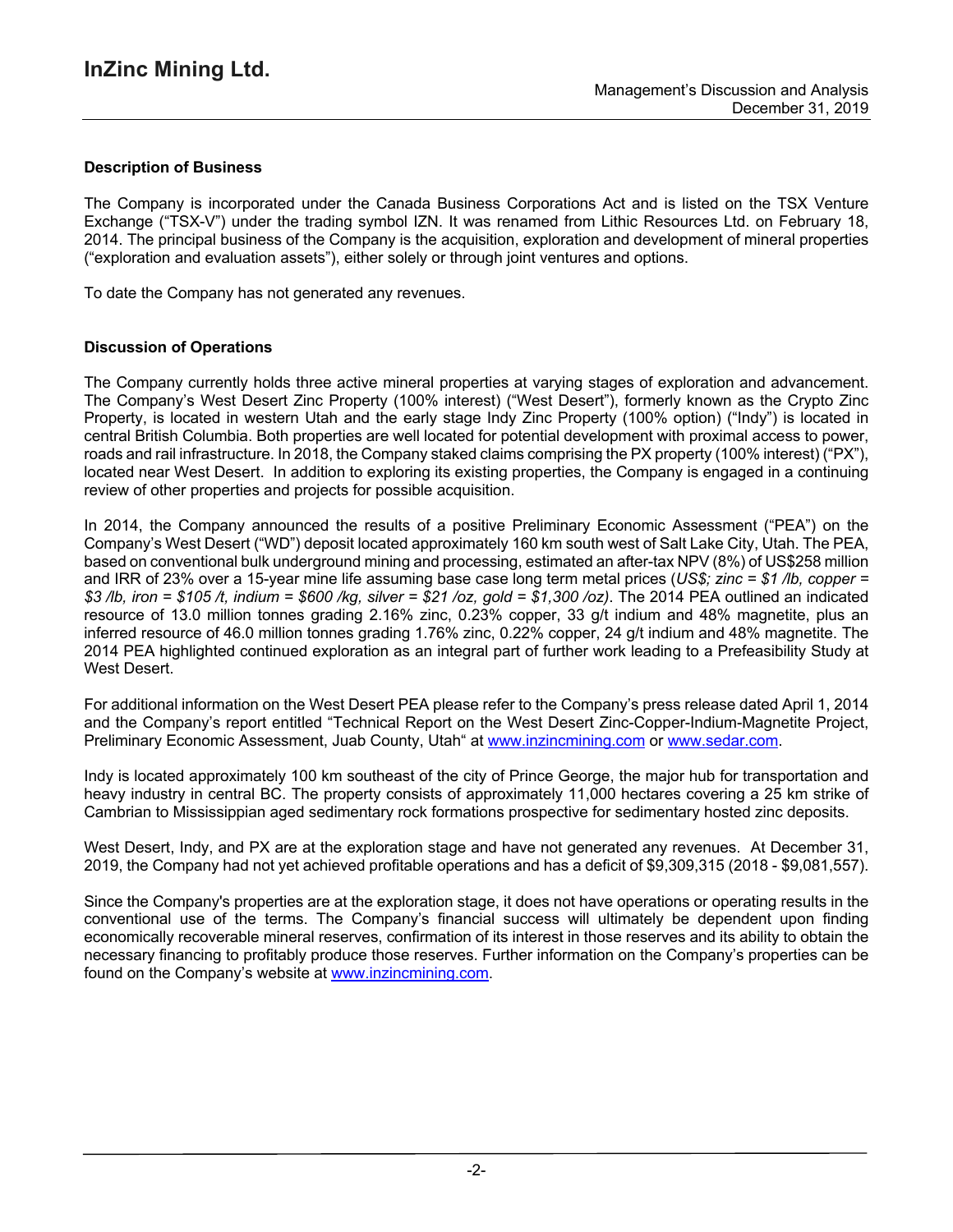## **Description of Business**

The Company is incorporated under the Canada Business Corporations Act and is listed on the TSX Venture Exchange ("TSX-V") under the trading symbol IZN. It was renamed from Lithic Resources Ltd. on February 18, 2014. The principal business of the Company is the acquisition, exploration and development of mineral properties ("exploration and evaluation assets"), either solely or through joint ventures and options.

To date the Company has not generated any revenues.

### **Discussion of Operations**

The Company currently holds three active mineral properties at varying stages of exploration and advancement. The Company's West Desert Zinc Property (100% interest) ("West Desert"), formerly known as the Crypto Zinc Property, is located in western Utah and the early stage Indy Zinc Property (100% option) ("Indy") is located in central British Columbia. Both properties are well located for potential development with proximal access to power, roads and rail infrastructure. In 2018, the Company staked claims comprising the PX property (100% interest) ("PX"), located near West Desert. In addition to exploring its existing properties, the Company is engaged in a continuing review of other properties and projects for possible acquisition.

In 2014, the Company announced the results of a positive Preliminary Economic Assessment ("PEA") on the Company's West Desert ("WD") deposit located approximately 160 km south west of Salt Lake City, Utah. The PEA, based on conventional bulk underground mining and processing, estimated an after-tax NPV (8%) of US\$258 million and IRR of 23% over a 15-year mine life assuming base case long term metal prices (*US\$; zinc = \$1 /lb, copper =* \$3 /lb, iron = \$105 /t, indium = \$600 /kg, silver = \$21 /oz, gold = \$1,300 /oz). The 2014 PEA outlined an indicated resource of 13.0 million tonnes grading 2.16% zinc, 0.23% copper, 33 g/t indium and 48% magnetite, plus an inferred resource of 46.0 million tonnes grading 1.76% zinc, 0.22% copper, 24 g/t indium and 48% magnetite. The 2014 PEA highlighted continued exploration as an integral part of further work leading to a Prefeasibility Study at West Desert.

For additional information on the West Desert PEA please refer to the Company's press release dated April 1, 2014 and the Company's report entitled "Technical Report on the West Desert Zinc-Copper-Indium-Magnetite Project, Preliminary Economic Assessment, Juab County, Utah" at www.inzincmining.com or www.sedar.com.

Indy is located approximately 100 km southeast of the city of Prince George, the major hub for transportation and heavy industry in central BC. The property consists of approximately 11,000 hectares covering a 25 km strike of Cambrian to Mississippian aged sedimentary rock formations prospective for sedimentary hosted zinc deposits.

West Desert, Indy, and PX are at the exploration stage and have not generated any revenues. At December 31, 2019, the Company had not yet achieved profitable operations and has a deficit of \$9,309,315 (2018 - \$9,081,557).

Since the Company's properties are at the exploration stage, it does not have operations or operating results in the conventional use of the terms. The Company's financial success will ultimately be dependent upon finding economically recoverable mineral reserves, confirmation of its interest in those reserves and its ability to obtain the necessary financing to profitably produce those reserves. Further information on the Company's properties can be found on the Company's website at www.inzincmining.com.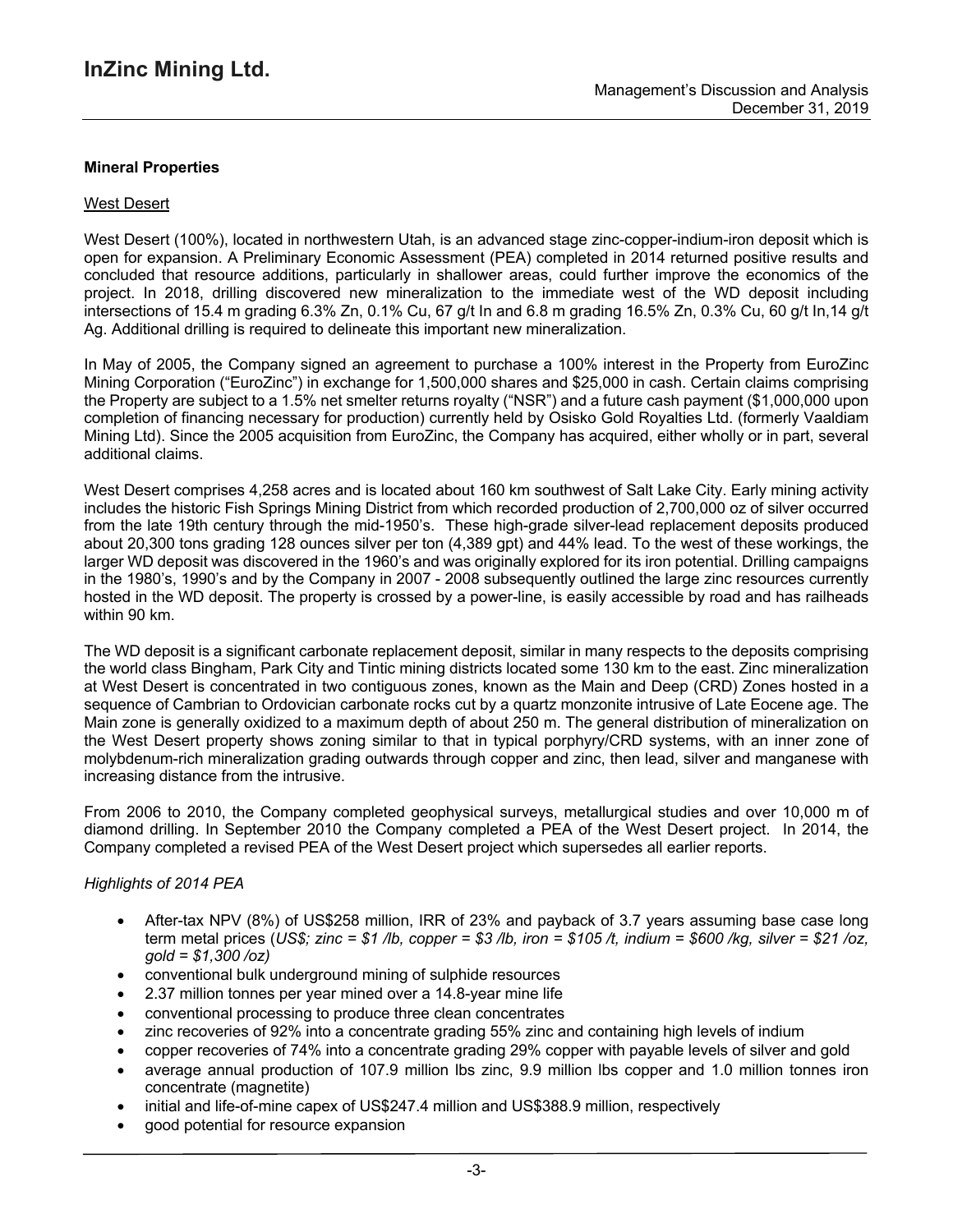## **Mineral Properties**

#### West Desert

West Desert (100%), located in northwestern Utah, is an advanced stage zinc-copper-indium-iron deposit which is open for expansion. A Preliminary Economic Assessment (PEA) completed in 2014 returned positive results and concluded that resource additions, particularly in shallower areas, could further improve the economics of the project. In 2018, drilling discovered new mineralization to the immediate west of the WD deposit including intersections of 15.4 m grading 6.3% Zn, 0.1% Cu, 67 g/t In and 6.8 m grading 16.5% Zn, 0.3% Cu, 60 g/t In,14 g/t Ag. Additional drilling is required to delineate this important new mineralization.

In May of 2005, the Company signed an agreement to purchase a 100% interest in the Property from EuroZinc Mining Corporation ("EuroZinc") in exchange for 1,500,000 shares and \$25,000 in cash. Certain claims comprising the Property are subject to a 1.5% net smelter returns royalty ("NSR") and a future cash payment (\$1,000,000 upon completion of financing necessary for production) currently held by Osisko Gold Royalties Ltd. (formerly Vaaldiam Mining Ltd). Since the 2005 acquisition from EuroZinc, the Company has acquired, either wholly or in part, several additional claims.

West Desert comprises 4,258 acres and is located about 160 km southwest of Salt Lake City. Early mining activity includes the historic Fish Springs Mining District from which recorded production of 2,700,000 oz of silver occurred from the late 19th century through the mid-1950's. These high-grade silver-lead replacement deposits produced about 20,300 tons grading 128 ounces silver per ton (4,389 gpt) and 44% lead. To the west of these workings, the larger WD deposit was discovered in the 1960's and was originally explored for its iron potential. Drilling campaigns in the 1980's, 1990's and by the Company in 2007 - 2008 subsequently outlined the large zinc resources currently hosted in the WD deposit. The property is crossed by a power-line, is easily accessible by road and has railheads within 90 km.

The WD deposit is a significant carbonate replacement deposit, similar in many respects to the deposits comprising the world class Bingham, Park City and Tintic mining districts located some 130 km to the east. Zinc mineralization at West Desert is concentrated in two contiguous zones, known as the Main and Deep (CRD) Zones hosted in a sequence of Cambrian to Ordovician carbonate rocks cut by a quartz monzonite intrusive of Late Eocene age. The Main zone is generally oxidized to a maximum depth of about 250 m. The general distribution of mineralization on the West Desert property shows zoning similar to that in typical porphyry/CRD systems, with an inner zone of molybdenum-rich mineralization grading outwards through copper and zinc, then lead, silver and manganese with increasing distance from the intrusive.

From 2006 to 2010, the Company completed geophysical surveys, metallurgical studies and over 10,000 m of diamond drilling. In September 2010 the Company completed a PEA of the West Desert project. In 2014, the Company completed a revised PEA of the West Desert project which supersedes all earlier reports.

## *Highlights of 2014 PEA*

- After-tax NPV (8%) of US\$258 million, IRR of 23% and payback of 3.7 years assuming base case long term metal prices (US\$; zinc = \$1 /b, copper = \$3 /b, iron = \$105 /t, indium = \$600 /kg, silver = \$21 /oz, *gold = \$1,300 /oz)*
- conventional bulk underground mining of sulphide resources
- 2.37 million tonnes per year mined over a 14.8-year mine life
- conventional processing to produce three clean concentrates
- zinc recoveries of 92% into a concentrate grading 55% zinc and containing high levels of indium
- copper recoveries of 74% into a concentrate grading 29% copper with payable levels of silver and gold
- average annual production of 107.9 million lbs zinc, 9.9 million lbs copper and 1.0 million tonnes iron concentrate (magnetite)
- initial and life-of-mine capex of US\$247.4 million and US\$388.9 million, respectively
- good potential for resource expansion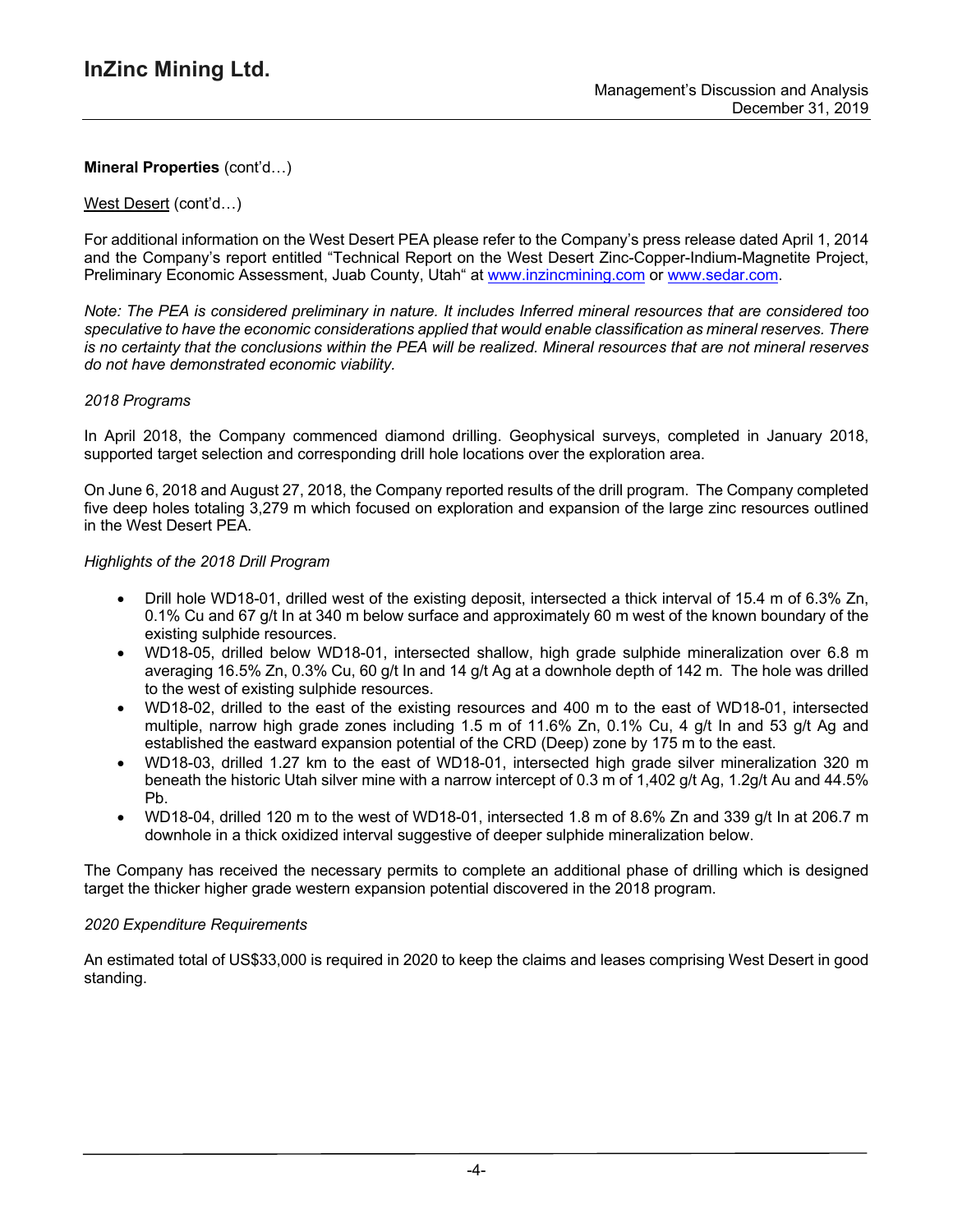### West Desert (cont'd…)

For additional information on the West Desert PEA please refer to the Company's press release dated April 1, 2014 and the Company's report entitled "Technical Report on the West Desert Zinc-Copper-Indium-Magnetite Project, Preliminary Economic Assessment, Juab County, Utah" at www.inzincmining.com or www.sedar.com.

Note: The PEA is considered preliminary in nature. It includes Inferred mineral resources that are considered too *speculative to have the economic considerations applied that would enable classification as mineral reserves. There* is no certainty that the conclusions within the PEA will be realized. Mineral resources that are not mineral reserves *do not have demonstrated economic viability.*

### *2018 Programs*

In April 2018, the Company commenced diamond drilling. Geophysical surveys, completed in January 2018, supported target selection and corresponding drill hole locations over the exploration area.

On June 6, 2018 and August 27, 2018, the Company reported results of the drill program. The Company completed five deep holes totaling 3,279 m which focused on exploration and expansion of the large zinc resources outlined in the West Desert PEA.

### *Highlights of the 2018 Drill Program*

- Drill hole WD18-01, drilled west of the existing deposit, intersected a thick interval of 15.4 m of 6.3% Zn, 0.1% Cu and 67 g/t In at 340 m below surface and approximately 60 m west of the known boundary of the existing sulphide resources.
- WD18-05, drilled below WD18-01, intersected shallow, high grade sulphide mineralization over 6.8 m averaging 16.5% Zn, 0.3% Cu, 60 g/t In and 14 g/t Ag at a downhole depth of 142 m. The hole was drilled to the west of existing sulphide resources.
- WD18-02, drilled to the east of the existing resources and 400 m to the east of WD18-01, intersected multiple, narrow high grade zones including 1.5 m of 11.6% Zn, 0.1% Cu, 4 g/t In and 53 g/t Ag and established the eastward expansion potential of the CRD (Deep) zone by 175 m to the east.
- WD18-03, drilled 1.27 km to the east of WD18-01, intersected high grade silver mineralization 320 m beneath the historic Utah silver mine with a narrow intercept of 0.3 m of 1,402 g/t Ag, 1.2g/t Au and 44.5% Pb.
- WD18-04, drilled 120 m to the west of WD18-01, intersected 1.8 m of 8.6% Zn and 339  $q/t$  In at 206.7 m downhole in a thick oxidized interval suggestive of deeper sulphide mineralization below.

The Company has received the necessary permits to complete an additional phase of drilling which is designed target the thicker higher grade western expansion potential discovered in the 2018 program.

#### *2020 Expenditure Requirements*

An estimated total of US\$33,000 is required in 2020 to keep the claims and leases comprising West Desert in good standing.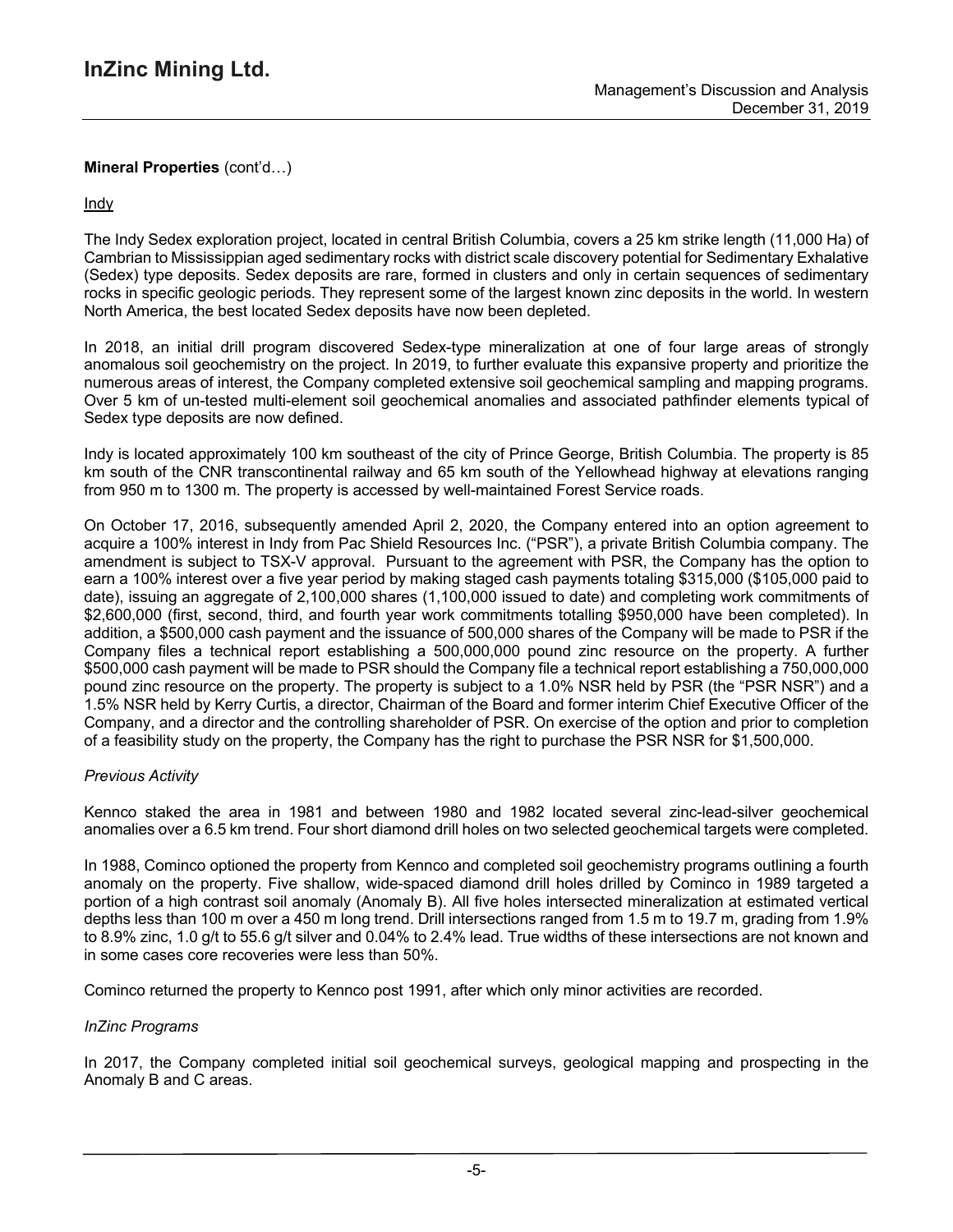## **Indy**

The Indy Sedex exploration project, located in central British Columbia, covers a 25 km strike length (11,000 Ha) of Cambrian to Mississippian aged sedimentary rocks with district scale discovery potential for Sedimentary Exhalative (Sedex) type deposits. Sedex deposits are rare, formed in clusters and only in certain sequences of sedimentary rocks in specific geologic periods. They represent some of the largest known zinc deposits in the world. In western North America, the best located Sedex deposits have now been depleted.

In 2018, an initial drill program discovered Sedex-type mineralization at one of four large areas of strongly anomalous soil geochemistry on the project. In 2019, to further evaluate this expansive property and prioritize the numerous areas of interest, the Company completed extensive soil geochemical sampling and mapping programs. Over 5 km of un-tested multi-element soil geochemical anomalies and associated pathfinder elements typical of Sedex type deposits are now defined.

Indy is located approximately 100 km southeast of the city of Prince George, British Columbia. The property is 85 km south of the CNR transcontinental railway and 65 km south of the Yellowhead highway at elevations ranging from 950 m to 1300 m. The property is accessed by well-maintained Forest Service roads.

On October 17, 2016, subsequently amended April 2, 2020, the Company entered into an option agreement to acquire a 100% interest in Indy from Pac Shield Resources Inc. ("PSR"), a private British Columbia company. The amendment is subject to TSX-V approval. Pursuant to the agreement with PSR, the Company has the option to earn a 100% interest over a five year period by making staged cash payments totaling \$315,000 (\$105,000 paid to date), issuing an aggregate of 2,100,000 shares (1,100,000 issued to date) and completing work commitments of \$2,600,000 (first, second, third, and fourth year work commitments totalling \$950,000 have been completed). In addition, a \$500,000 cash payment and the issuance of 500,000 shares of the Company will be made to PSR if the Company files a technical report establishing a 500,000,000 pound zinc resource on the property. A further \$500,000 cash payment will be made to PSR should the Company file a technical report establishing a 750,000,000 pound zinc resource on the property. The property is subject to a 1.0% NSR held by PSR (the "PSR NSR") and a 1.5% NSR held by Kerry Curtis, a director, Chairman of the Board and former interim Chief Executive Officer of the Company, and a director and the controlling shareholder of PSR. On exercise of the option and prior to completion of a feasibility study on the property, the Company has the right to purchase the PSR NSR for \$1,500,000.

## *Previous Activity*

Kennco staked the area in 1981 and between 1980 and 1982 located several zinc-lead-silver geochemical anomalies over a 6.5 km trend. Four short diamond drill holes on two selected geochemical targets were completed.

In 1988, Cominco optioned the property from Kennco and completed soil geochemistry programs outlining a fourth anomaly on the property. Five shallow, wide-spaced diamond drill holes drilled by Cominco in 1989 targeted a portion of a high contrast soil anomaly (Anomaly B). All five holes intersected mineralization at estimated vertical depths less than 100 m over a 450 m long trend. Drill intersections ranged from 1.5 m to 19.7 m, grading from 1.9% to 8.9% zinc, 1.0 g/t to 55.6 g/t silver and 0.04% to 2.4% lead. True widths of these intersections are not known and in some cases core recoveries were less than 50%.

Cominco returned the property to Kennco post 1991, after which only minor activities are recorded.

## *InZinc Programs*

In 2017, the Company completed initial soil geochemical surveys, geological mapping and prospecting in the Anomaly B and C areas.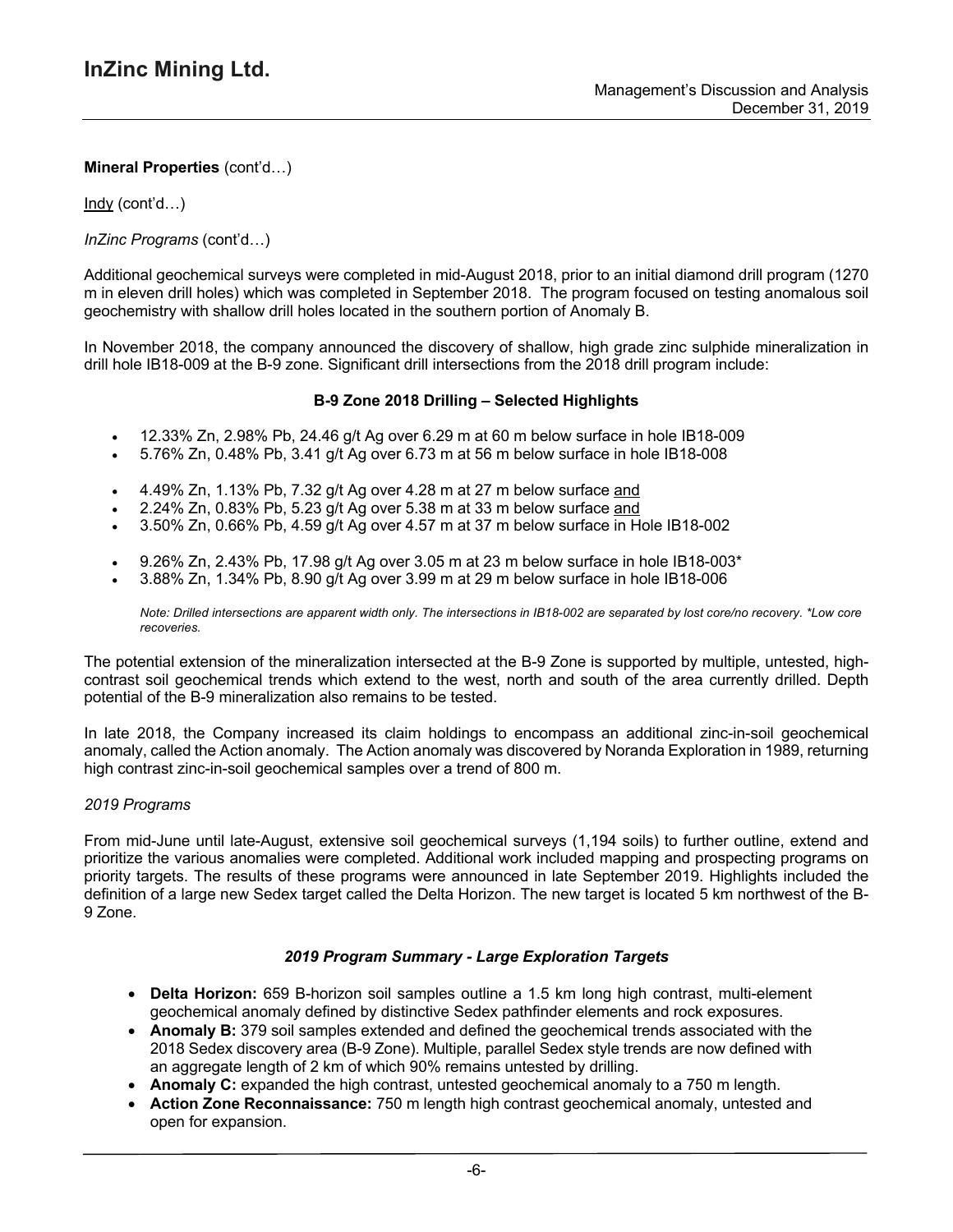Indy (cont'd…)

*InZinc Programs* (cont'd…)

Additional geochemical surveys were completed in mid-August 2018, prior to an initial diamond drill program (1270 m in eleven drill holes) which was completed in September 2018. The program focused on testing anomalous soil geochemistry with shallow drill holes located in the southern portion of Anomaly B.

In November 2018, the company announced the discovery of shallow, high grade zinc sulphide mineralization in drill hole IB18-009 at the B-9 zone. Significant drill intersections from the 2018 drill program include:

### **B-9 Zone 2018 Drilling – Selected Highlights**

- 12.33% Zn, 2.98% Pb, 24.46 g/t Ag over 6.29 m at 60 m below surface in hole IB18-009
- 5.76% Zn, 0.48% Pb, 3.41 g/t Ag over 6.73 m at 56 m below surface in hole IB18-008
- 4.49% Zn, 1.13% Pb, 7.32 g/t Ag over 4.28 m at 27 m below surface and
- 2.24% Zn, 0.83% Pb, 5.23 g/t Ag over 5.38 m at 33 m below surface and
- 3.50% Zn, 0.66% Pb, 4.59 g/t Ag over 4.57 m at 37 m below surface in Hole IB18-002
- 9.26% Zn, 2.43% Pb, 17.98 g/t Ag over 3.05 m at 23 m below surface in hole IB18-003\*
- 3.88% Zn, 1.34% Pb, 8.90 g/t Ag over 3.99 m at 29 m below surface in hole IB18-006

Note: Drilled intersections are apparent width only. The intersections in IB18-002 are separated by lost core/no recovery. \*Low core *recoveries.*

The potential extension of the mineralization intersected at the B-9 Zone is supported by multiple, untested, highcontrast soil geochemical trends which extend to the west, north and south of the area currently drilled. Depth potential of the B-9 mineralization also remains to be tested.

In late 2018, the Company increased its claim holdings to encompass an additional zinc-in-soil geochemical anomaly, called the Action anomaly. The Action anomaly was discovered by Noranda Exploration in 1989, returning high contrast zinc-in-soil geochemical samples over a trend of 800 m.

#### *2019 Programs*

From mid-June until late-August, extensive soil geochemical surveys (1,194 soils) to further outline, extend and prioritize the various anomalies were completed. Additional work included mapping and prospecting programs on priority targets. The results of these programs were announced in late September 2019. Highlights included the definition of a large new Sedex target called the Delta Horizon. The new target is located 5 km northwest of the B-9 Zone.

#### *2019 Program Summary - Large Exploration Targets*

- **Delta Horizon:** 659 B-horizon soil samples outline a 1.5 km long high contrast, multi-element geochemical anomaly defined by distinctive Sedex pathfinder elements and rock exposures.
- **Anomaly B:** 379 soil samples extended and defined the geochemical trends associated with the 2018 Sedex discovery area (B-9 Zone). Multiple, parallel Sedex style trends are now defined with an aggregate length of 2 km of which 90% remains untested by drilling.
- **Anomaly C:** expanded the high contrast, untested geochemical anomaly to a 750 m length.
- **Action Zone Reconnaissance:** 750 m length high contrast geochemical anomaly, untested and open for expansion.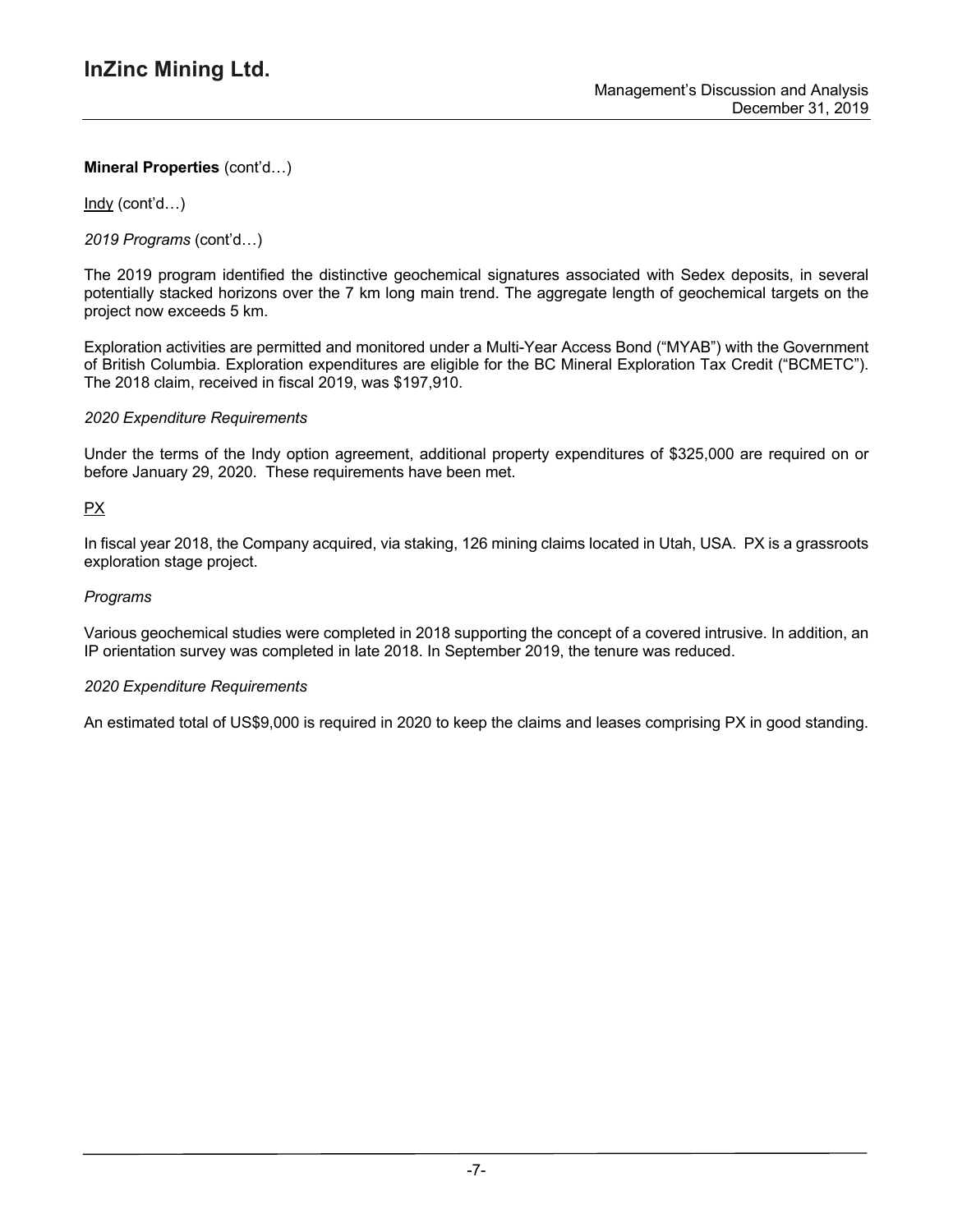Indy (cont'd…)

*2019 Programs* (cont'd…)

The 2019 program identified the distinctive geochemical signatures associated with Sedex deposits, in several potentially stacked horizons over the 7 km long main trend. The aggregate length of geochemical targets on the project now exceeds 5 km.

Exploration activities are permitted and monitored under a Multi-Year Access Bond ("MYAB") with the Government of British Columbia. Exploration expenditures are eligible for the BC Mineral Exploration Tax Credit ("BCMETC"). The 2018 claim, received in fiscal 2019, was \$197,910.

### *2020 Expenditure Requirements*

Under the terms of the Indy option agreement, additional property expenditures of \$325,000 are required on or before January 29, 2020. These requirements have been met.

## PX

In fiscal year 2018, the Company acquired, via staking, 126 mining claims located in Utah, USA. PX is a grassroots exploration stage project.

### *Programs*

Various geochemical studies were completed in 2018 supporting the concept of a covered intrusive. In addition, an IP orientation survey was completed in late 2018. In September 2019, the tenure was reduced.

#### *2020 Expenditure Requirements*

An estimated total of US\$9,000 is required in 2020 to keep the claims and leases comprising PX in good standing.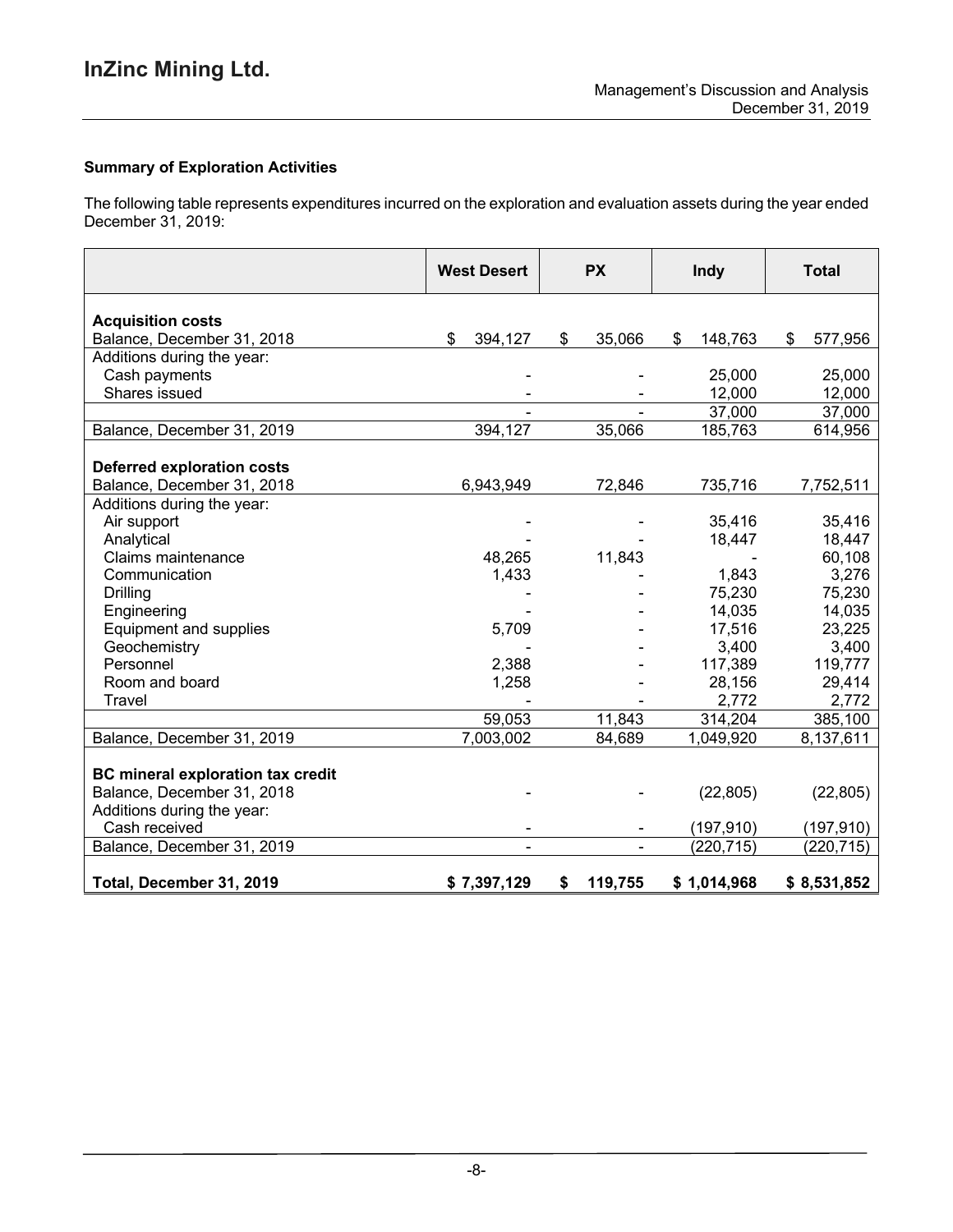# **Summary of Exploration Activities**

The following table represents expenditures incurred on the exploration and evaluation assets during the year ended December 31, 2019:

|                                                                        | <b>West Desert</b>       | <b>PX</b>                | Indy          | <b>Total</b>  |
|------------------------------------------------------------------------|--------------------------|--------------------------|---------------|---------------|
| <b>Acquisition costs</b>                                               |                          |                          |               |               |
| Balance, December 31, 2018                                             | \$<br>394,127            | \$<br>35,066             | \$<br>148,763 | \$<br>577,956 |
| Additions during the year:                                             |                          |                          |               |               |
| Cash payments                                                          |                          |                          | 25,000        | 25,000        |
| Shares issued                                                          |                          |                          | 12,000        | 12,000        |
|                                                                        |                          |                          | 37,000        | 37,000        |
| Balance, December 31, 2019                                             | 394,127                  | 35,066                   | 185,763       | 614,956       |
| <b>Deferred exploration costs</b>                                      |                          |                          |               |               |
| Balance, December 31, 2018                                             | 6,943,949                | 72,846                   | 735,716       | 7,752,511     |
| Additions during the year:                                             |                          |                          |               |               |
| Air support                                                            |                          |                          | 35,416        | 35,416        |
| Analytical                                                             |                          |                          | 18,447        | 18,447        |
| Claims maintenance                                                     | 48,265                   | 11,843                   |               | 60,108        |
| Communication                                                          | 1,433                    |                          | 1,843         | 3,276         |
| <b>Drilling</b>                                                        |                          |                          | 75,230        | 75,230        |
| Engineering                                                            |                          |                          | 14,035        | 14,035        |
| Equipment and supplies                                                 | 5,709                    |                          | 17,516        | 23,225        |
| Geochemistry                                                           |                          |                          | 3,400         | 3,400         |
| Personnel                                                              | 2,388                    |                          | 117,389       | 119,777       |
| Room and board                                                         | 1,258                    |                          | 28,156        | 29,414        |
| Travel                                                                 |                          |                          | 2,772         | 2,772         |
|                                                                        | 59,053                   | 11,843                   | 314,204       | 385,100       |
| Balance, December 31, 2019                                             | 7,003,002                | 84,689                   | 1,049,920     | 8,137,611     |
| <b>BC</b> mineral exploration tax credit<br>Balance, December 31, 2018 |                          |                          | (22, 805)     | (22, 805)     |
| Additions during the year:                                             |                          |                          |               |               |
| Cash received                                                          | $\overline{\phantom{a}}$ | $\overline{\phantom{a}}$ | (197, 910)    | (197, 910)    |
| Balance, December 31, 2019                                             |                          | $\overline{a}$           | (220, 715)    | (220, 715)    |
| Total, December 31, 2019                                               | \$7,397,129              | \$<br>119,755            | \$1,014,968   | \$8,531,852   |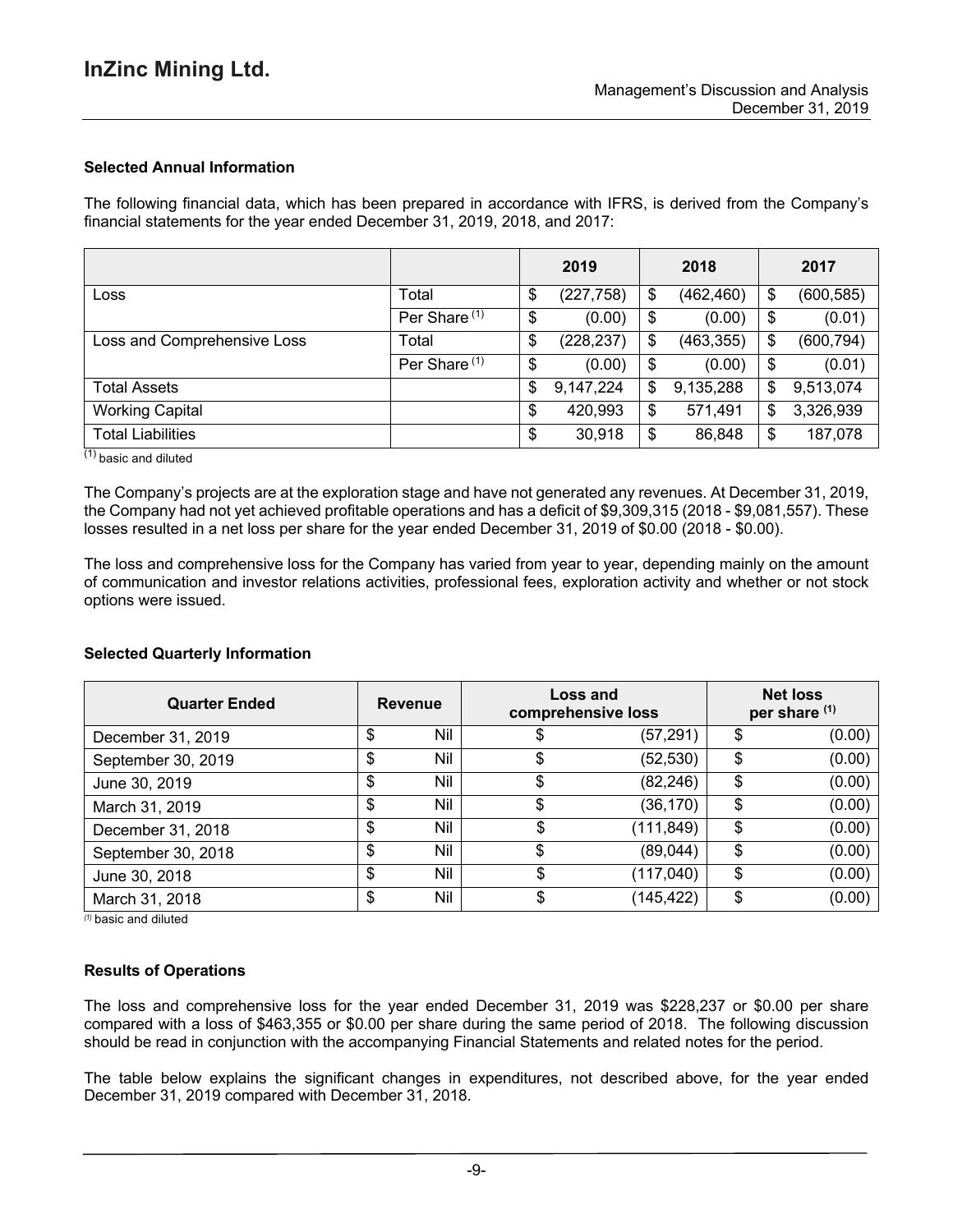## **Selected Annual Information**

The following financial data, which has been prepared in accordance with IFRS, is derived from the Company's financial statements for the year ended December 31, 2019, 2018, and 2017:

|                             |                          | 2019             | 2018             |                            | 2017       |
|-----------------------------|--------------------------|------------------|------------------|----------------------------|------------|
| Loss                        | Total                    | \$<br>(227, 758) | \$<br>(462, 460) | \$                         | (600, 585) |
|                             | Per Share <sup>(1)</sup> | \$<br>(0.00)     | \$<br>(0.00)     | \$                         | (0.01)     |
| Loss and Comprehensive Loss | Total                    | \$<br>(228, 237) | \$<br>(463, 355) | \$                         | (600, 794) |
|                             | Per Share <sup>(1)</sup> | \$<br>(0.00)     | \$<br>(0.00)     | $\boldsymbol{\mathsf{\$}}$ | (0.01)     |
| <b>Total Assets</b>         |                          | \$<br>9,147,224  | \$<br>9,135,288  | \$                         | 9,513,074  |
| <b>Working Capital</b>      |                          | \$<br>420,993    | \$<br>571,491    | \$                         | 3,326,939  |
| <b>Total Liabilities</b>    |                          | \$<br>30,918     | \$<br>86,848     | \$                         | 187,078    |

 $(1)$  basic and diluted

The Company's projects are at the exploration stage and have not generated any revenues. At December 31, 2019, the Company had not yet achieved profitable operations and has a deficit of \$9,309,315 (2018 - \$9,081,557). These losses resulted in a net loss per share for the year ended December 31, 2019 of \$0.00 (2018 - \$0.00).

The loss and comprehensive loss for the Company has varied from year to year, depending mainly on the amount of communication and investor relations activities, professional fees, exploration activity and whether or not stock options were issued.

#### **Selected Quarterly Information**

| <b>Quarter Ended</b> | <b>Revenue</b> |            | Loss and<br>comprehensive loss |           |    |        | <b>Net loss</b><br>per share (1) |  |
|----------------------|----------------|------------|--------------------------------|-----------|----|--------|----------------------------------|--|
| December 31, 2019    | \$             | Nil        |                                | (57, 291) | \$ | (0.00) |                                  |  |
| September 30, 2019   | \$             | Nil        |                                | (52, 530) | \$ | (0.00) |                                  |  |
| June 30, 2019        | \$             | Nil        | \$                             | (82, 246) | \$ | (0.00) |                                  |  |
| March 31, 2019       | \$             | Nil        | \$                             | (36, 170) | \$ | (0.00) |                                  |  |
| December 31, 2018    | \$             | Nil        |                                | (111,849) | \$ | (0.00) |                                  |  |
| September 30, 2018   | \$             | <b>Nil</b> | \$                             | (89,044)  | \$ | (0.00) |                                  |  |
| June 30, 2018        | \$             | Nil        | \$                             | (117,040) | \$ | (0.00) |                                  |  |
| March 31, 2018       | \$             | Nil        |                                | (145,422) | \$ | (0.00) |                                  |  |

*(1)* basic and diluted

#### **Results of Operations**

The loss and comprehensive loss for the year ended December 31, 2019 was \$228,237 or \$0.00 per share compared with a loss of \$463,355 or \$0.00 per share during the same period of 2018. The following discussion should be read in conjunction with the accompanying Financial Statements and related notes for the period.

The table below explains the significant changes in expenditures, not described above, for the year ended December 31, 2019 compared with December 31, 2018.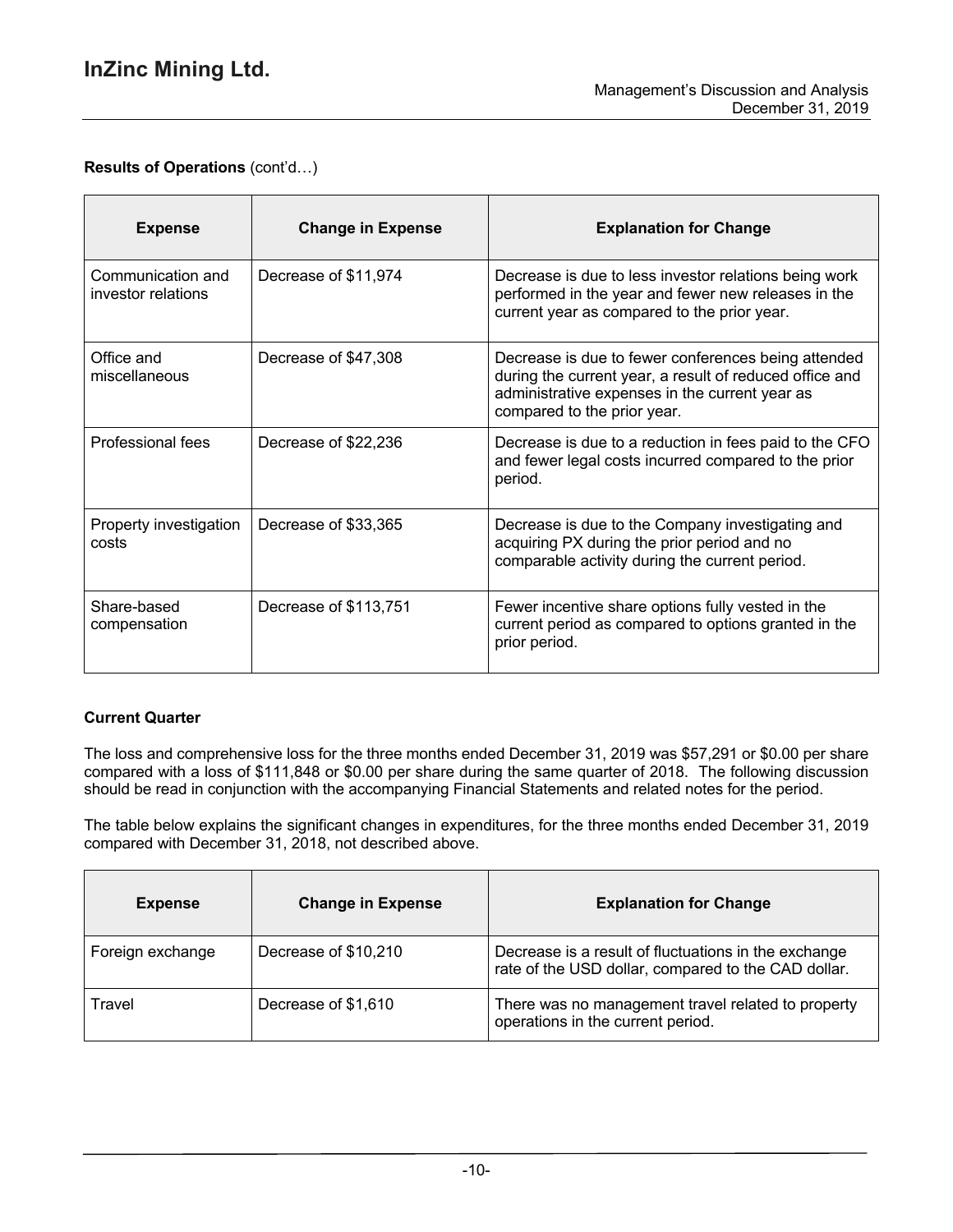$\overline{a}$ 

# **Results of Operations** (cont'd…)

| <b>Expense</b>                          | <b>Change in Expense</b> | <b>Explanation for Change</b>                                                                                                                                                                   |
|-----------------------------------------|--------------------------|-------------------------------------------------------------------------------------------------------------------------------------------------------------------------------------------------|
| Communication and<br>investor relations | Decrease of \$11,974     | Decrease is due to less investor relations being work<br>performed in the year and fewer new releases in the<br>current year as compared to the prior year.                                     |
| Office and<br>miscellaneous             | Decrease of \$47,308     | Decrease is due to fewer conferences being attended<br>during the current year, a result of reduced office and<br>administrative expenses in the current year as<br>compared to the prior year. |
| Professional fees                       | Decrease of \$22,236     | Decrease is due to a reduction in fees paid to the CFO<br>and fewer legal costs incurred compared to the prior<br>period.                                                                       |
| Property investigation<br>costs         | Decrease of \$33,365     | Decrease is due to the Company investigating and<br>acquiring PX during the prior period and no<br>comparable activity during the current period.                                               |
| Share-based<br>compensation             | Decrease of \$113,751    | Fewer incentive share options fully vested in the<br>current period as compared to options granted in the<br>prior period.                                                                      |

## **Current Quarter**

The loss and comprehensive loss for the three months ended December 31, 2019 was \$57,291 or \$0.00 per share compared with a loss of \$111,848 or \$0.00 per share during the same quarter of 2018. The following discussion should be read in conjunction with the accompanying Financial Statements and related notes for the period.

The table below explains the significant changes in expenditures, for the three months ended December 31, 2019 compared with December 31, 2018, not described above.

| <b>Expense</b>   | <b>Change in Expense</b> | <b>Explanation for Change</b>                                                                               |
|------------------|--------------------------|-------------------------------------------------------------------------------------------------------------|
| Foreign exchange | Decrease of \$10,210     | Decrease is a result of fluctuations in the exchange<br>rate of the USD dollar, compared to the CAD dollar. |
| Travel           | Decrease of \$1,610      | There was no management travel related to property<br>operations in the current period.                     |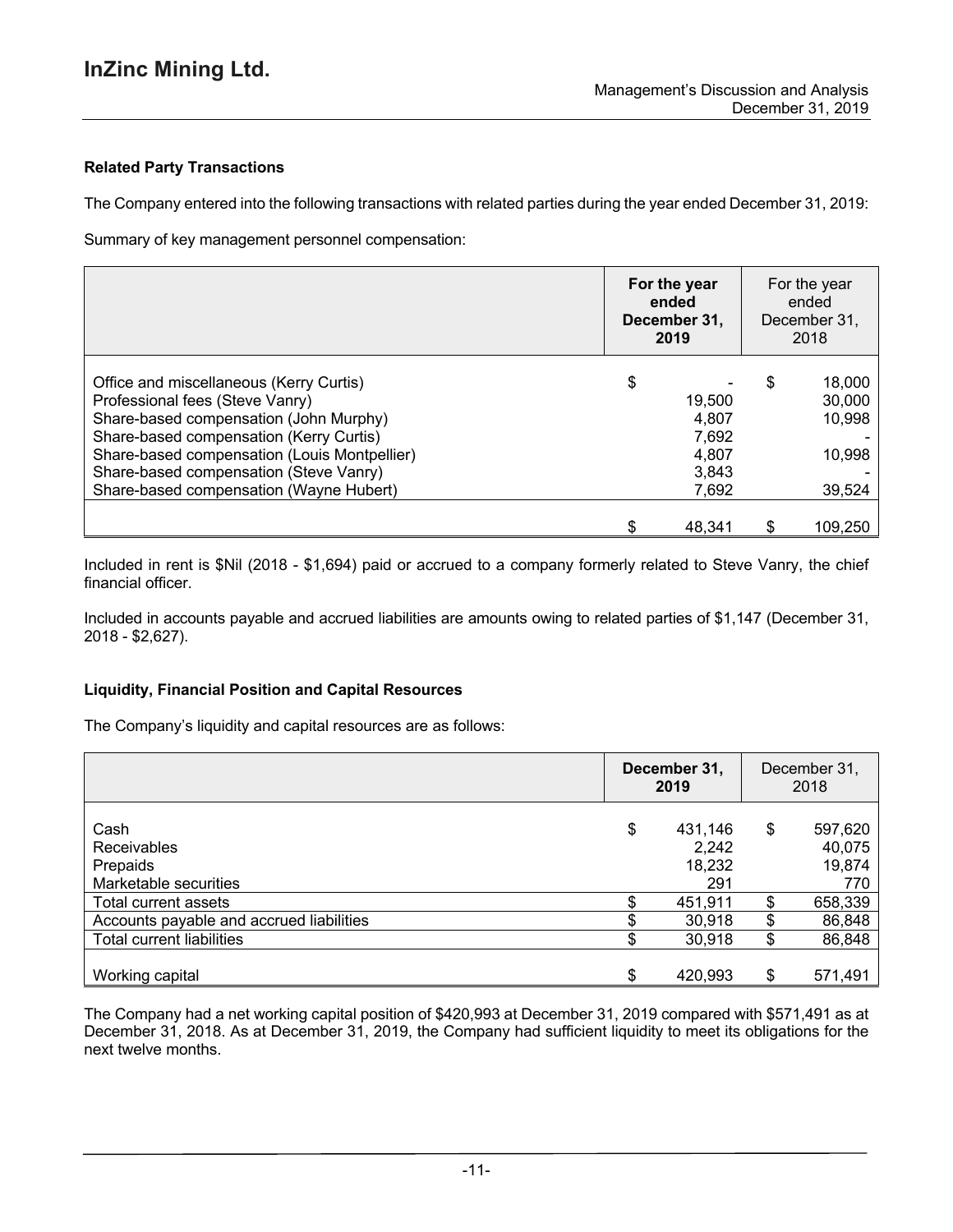## **Related Party Transactions**

The Company entered into the following transactions with related parties during the year ended December 31, 2019:

Summary of key management personnel compensation:

|                                                                                                                                                                                                                                                                                                      | For the year<br>ended<br>December 31.<br>2019             | For the year<br>ended<br>December 31.<br>2018        |
|------------------------------------------------------------------------------------------------------------------------------------------------------------------------------------------------------------------------------------------------------------------------------------------------------|-----------------------------------------------------------|------------------------------------------------------|
| Office and miscellaneous (Kerry Curtis)<br>Professional fees (Steve Vanry)<br>Share-based compensation (John Murphy)<br>Share-based compensation (Kerry Curtis)<br>Share-based compensation (Louis Montpellier)<br>Share-based compensation (Steve Vanry)<br>Share-based compensation (Wayne Hubert) | \$<br>19,500<br>4,807<br>7,692<br>4,807<br>3,843<br>7,692 | \$<br>18,000<br>30,000<br>10,998<br>10,998<br>39,524 |
|                                                                                                                                                                                                                                                                                                      | 48.341                                                    | \$<br>109.250                                        |

Included in rent is \$Nil (2018 - \$1,694) paid or accrued to a company formerly related to Steve Vanry, the chief financial officer.

Included in accounts payable and accrued liabilities are amounts owing to related parties of \$1,147 (December 31, 2018 - \$2,627).

## **Liquidity, Financial Position and Capital Resources**

The Company's liquidity and capital resources are as follows:

|                                          | December 31,<br>2019 |         | December 31,<br>2018 |         |
|------------------------------------------|----------------------|---------|----------------------|---------|
| Cash                                     | \$                   | 431,146 | \$                   | 597,620 |
| <b>Receivables</b>                       |                      | 2,242   |                      | 40,075  |
| Prepaids                                 |                      | 18,232  |                      | 19,874  |
| Marketable securities                    |                      | 291     |                      | 770     |
| Total current assets                     |                      | 451,911 | S                    | 658,339 |
| Accounts payable and accrued liabilities |                      | 30,918  | \$                   | 86,848  |
| Total current liabilities                |                      | 30,918  | \$                   | 86,848  |
|                                          |                      |         |                      |         |
| Working capital                          | \$.                  | 420,993 | \$                   | 571,491 |

The Company had a net working capital position of \$420,993 at December 31, 2019 compared with \$571,491 as at December 31, 2018. As at December 31, 2019, the Company had sufficient liquidity to meet its obligations for the next twelve months.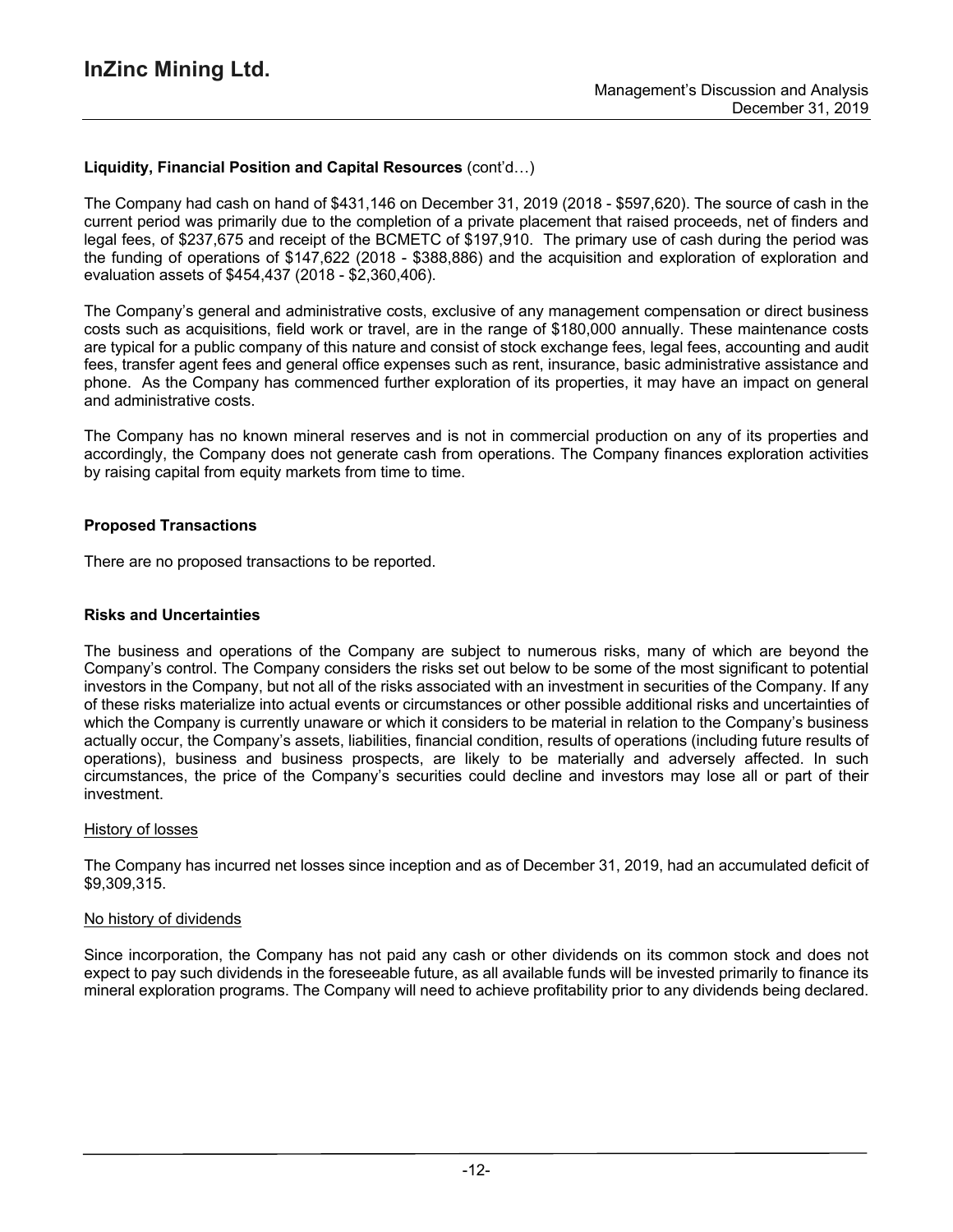## **Liquidity, Financial Position and Capital Resources** (cont'd…)

The Company had cash on hand of \$431,146 on December 31, 2019 (2018 - \$597,620). The source of cash in the current period was primarily due to the completion of a private placement that raised proceeds, net of finders and legal fees, of \$237,675 and receipt of the BCMETC of \$197,910. The primary use of cash during the period was the funding of operations of \$147,622 (2018 - \$388,886) and the acquisition and exploration of exploration and evaluation assets of \$454,437 (2018 - \$2,360,406).

The Company's general and administrative costs, exclusive of any management compensation or direct business costs such as acquisitions, field work or travel, are in the range of \$180,000 annually. These maintenance costs are typical for a public company of this nature and consist of stock exchange fees, legal fees, accounting and audit fees, transfer agent fees and general office expenses such as rent, insurance, basic administrative assistance and phone. As the Company has commenced further exploration of its properties, it may have an impact on general and administrative costs.

The Company has no known mineral reserves and is not in commercial production on any of its properties and accordingly, the Company does not generate cash from operations. The Company finances exploration activities by raising capital from equity markets from time to time.

### **Proposed Transactions**

There are no proposed transactions to be reported.

### **Risks and Uncertainties**

The business and operations of the Company are subject to numerous risks, many of which are beyond the Company's control. The Company considers the risks set out below to be some of the most significant to potential investors in the Company, but not all of the risks associated with an investment in securities of the Company. If any of these risks materialize into actual events or circumstances or other possible additional risks and uncertainties of which the Company is currently unaware or which it considers to be material in relation to the Company's business actually occur, the Company's assets, liabilities, financial condition, results of operations (including future results of operations), business and business prospects, are likely to be materially and adversely affected. In such circumstances, the price of the Company's securities could decline and investors may lose all or part of their investment.

#### History of losses

The Company has incurred net losses since inception and as of December 31, 2019, had an accumulated deficit of \$9,309,315.

#### No history of dividends

Since incorporation, the Company has not paid any cash or other dividends on its common stock and does not expect to pay such dividends in the foreseeable future, as all available funds will be invested primarily to finance its mineral exploration programs. The Company will need to achieve profitability prior to any dividends being declared.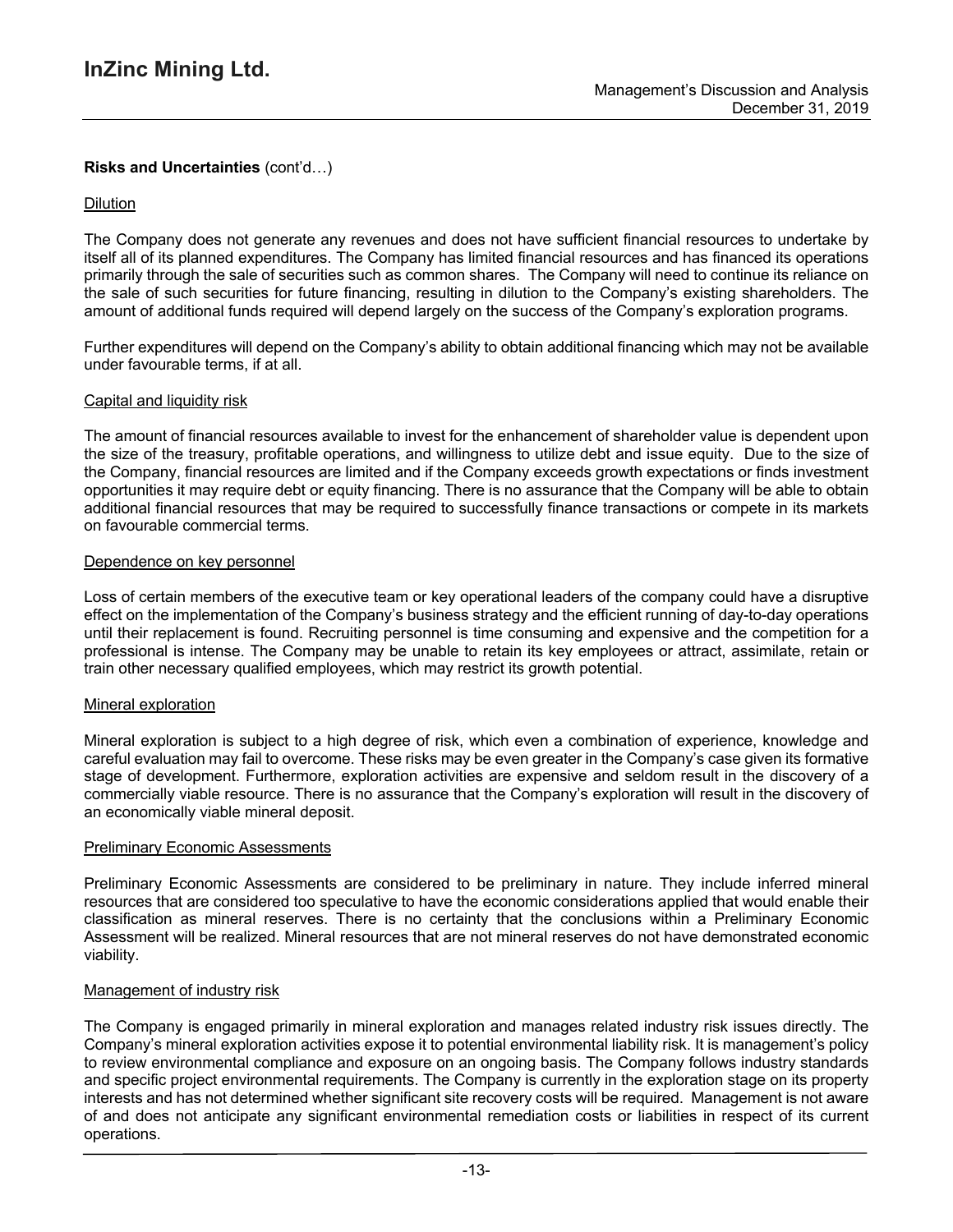## **Risks and Uncertainties** (cont'd…)

### Dilution

The Company does not generate any revenues and does not have sufficient financial resources to undertake by itself all of its planned expenditures. The Company has limited financial resources and has financed its operations primarily through the sale of securities such as common shares. The Company will need to continue its reliance on the sale of such securities for future financing, resulting in dilution to the Company's existing shareholders. The amount of additional funds required will depend largely on the success of the Company's exploration programs.

Further expenditures will depend on the Company's ability to obtain additional financing which may not be available under favourable terms, if at all.

#### Capital and liquidity risk

The amount of financial resources available to invest for the enhancement of shareholder value is dependent upon the size of the treasury, profitable operations, and willingness to utilize debt and issue equity. Due to the size of the Company, financial resources are limited and if the Company exceeds growth expectations or finds investment opportunities it may require debt or equity financing. There is no assurance that the Company will be able to obtain additional financial resources that may be required to successfully finance transactions or compete in its markets on favourable commercial terms.

#### Dependence on key personnel

Loss of certain members of the executive team or key operational leaders of the company could have a disruptive effect on the implementation of the Company's business strategy and the efficient running of day-to-day operations until their replacement is found. Recruiting personnel is time consuming and expensive and the competition for a professional is intense. The Company may be unable to retain its key employees or attract, assimilate, retain or train other necessary qualified employees, which may restrict its growth potential.

#### Mineral exploration

Mineral exploration is subject to a high degree of risk, which even a combination of experience, knowledge and careful evaluation may fail to overcome. These risks may be even greater in the Company's case given its formative stage of development. Furthermore, exploration activities are expensive and seldom result in the discovery of a commercially viable resource. There is no assurance that the Company's exploration will result in the discovery of an economically viable mineral deposit.

#### **Preliminary Economic Assessments**

Preliminary Economic Assessments are considered to be preliminary in nature. They include inferred mineral resources that are considered too speculative to have the economic considerations applied that would enable their classification as mineral reserves. There is no certainty that the conclusions within a Preliminary Economic Assessment will be realized. Mineral resources that are not mineral reserves do not have demonstrated economic viability.

#### Management of industry risk

The Company is engaged primarily in mineral exploration and manages related industry risk issues directly. The Company's mineral exploration activities expose it to potential environmental liability risk. It is management's policy to review environmental compliance and exposure on an ongoing basis. The Company follows industry standards and specific project environmental requirements. The Company is currently in the exploration stage on its property interests and has not determined whether significant site recovery costs will be required. Management is not aware of and does not anticipate any significant environmental remediation costs or liabilities in respect of its current operations.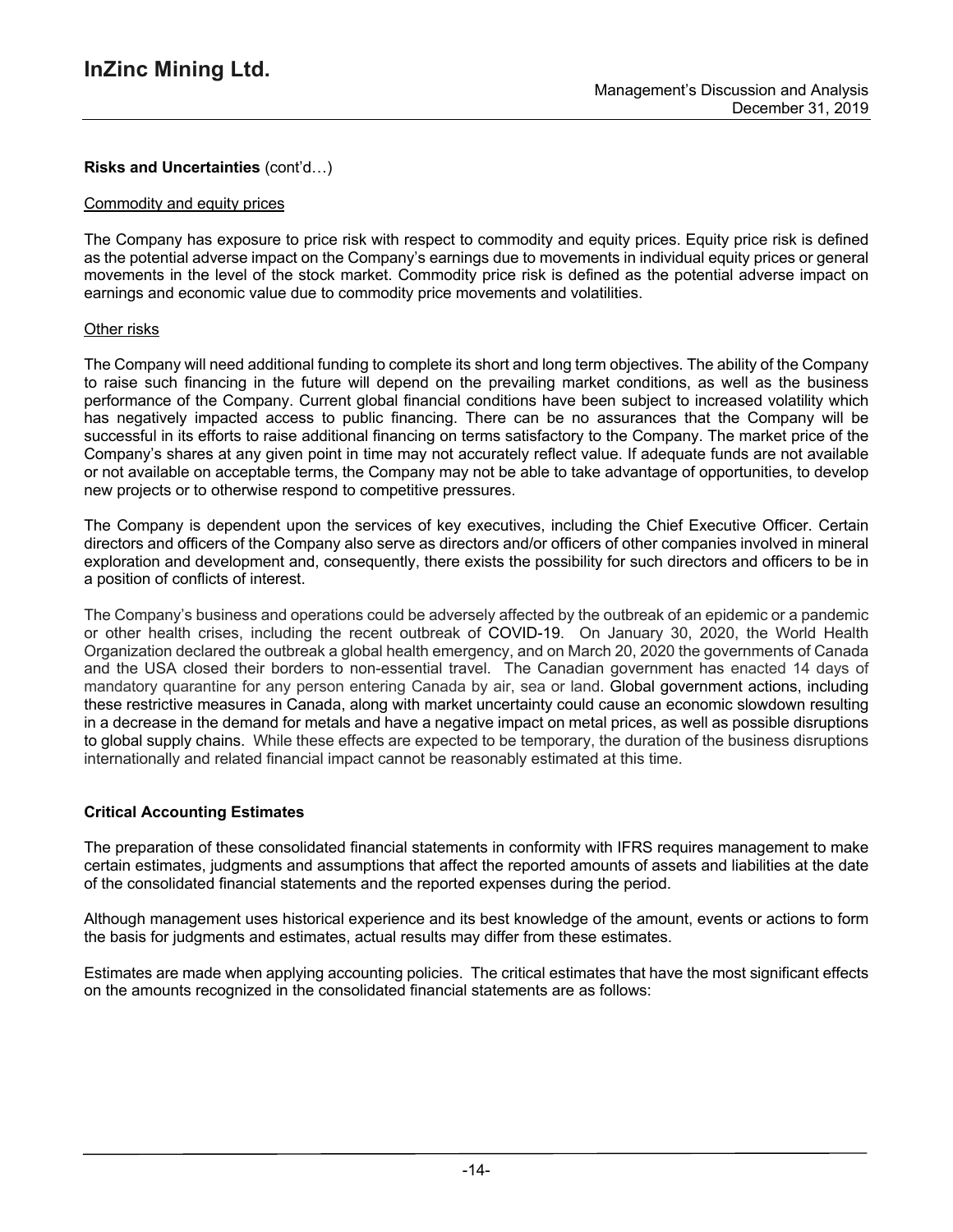## **Risks and Uncertainties** (cont'd…)

### Commodity and equity prices

The Company has exposure to price risk with respect to commodity and equity prices. Equity price risk is defined as the potential adverse impact on the Company's earnings due to movements in individual equity prices or general movements in the level of the stock market. Commodity price risk is defined as the potential adverse impact on earnings and economic value due to commodity price movements and volatilities.

## Other risks

The Company will need additional funding to complete its short and long term objectives. The ability of the Company to raise such financing in the future will depend on the prevailing market conditions, as well as the business performance of the Company. Current global financial conditions have been subject to increased volatility which has negatively impacted access to public financing. There can be no assurances that the Company will be successful in its efforts to raise additional financing on terms satisfactory to the Company. The market price of the Company's shares at any given point in time may not accurately reflect value. If adequate funds are not available or not available on acceptable terms, the Company may not be able to take advantage of opportunities, to develop new projects or to otherwise respond to competitive pressures.

The Company is dependent upon the services of key executives, including the Chief Executive Officer. Certain directors and officers of the Company also serve as directors and/or officers of other companies involved in mineral exploration and development and, consequently, there exists the possibility for such directors and officers to be in a position of conflicts of interest.

The Company's business and operations could be adversely affected by the outbreak of an epidemic or a pandemic or other health crises, including the recent outbreak of COVID-19. On January 30, 2020, the World Health Organization declared the outbreak a global health emergency, and on March 20, 2020 the governments of Canada and the USA closed their borders to non-essential travel. The Canadian government has enacted 14 days of mandatory quarantine for any person entering Canada by air, sea or land. Global government actions, including these restrictive measures in Canada, along with market uncertainty could cause an economic slowdown resulting in a decrease in the demand for metals and have a negative impact on metal prices, as well as possible disruptions to global supply chains. While these effects are expected to be temporary, the duration of the business disruptions internationally and related financial impact cannot be reasonably estimated at this time.

## **Critical Accounting Estimates**

The preparation of these consolidated financial statements in conformity with IFRS requires management to make certain estimates, judgments and assumptions that affect the reported amounts of assets and liabilities at the date of the consolidated financial statements and the reported expenses during the period.

Although management uses historical experience and its best knowledge of the amount, events or actions to form the basis for judgments and estimates, actual results may differ from these estimates.

Estimates are made when applying accounting policies. The critical estimates that have the most significant effects on the amounts recognized in the consolidated financial statements are as follows: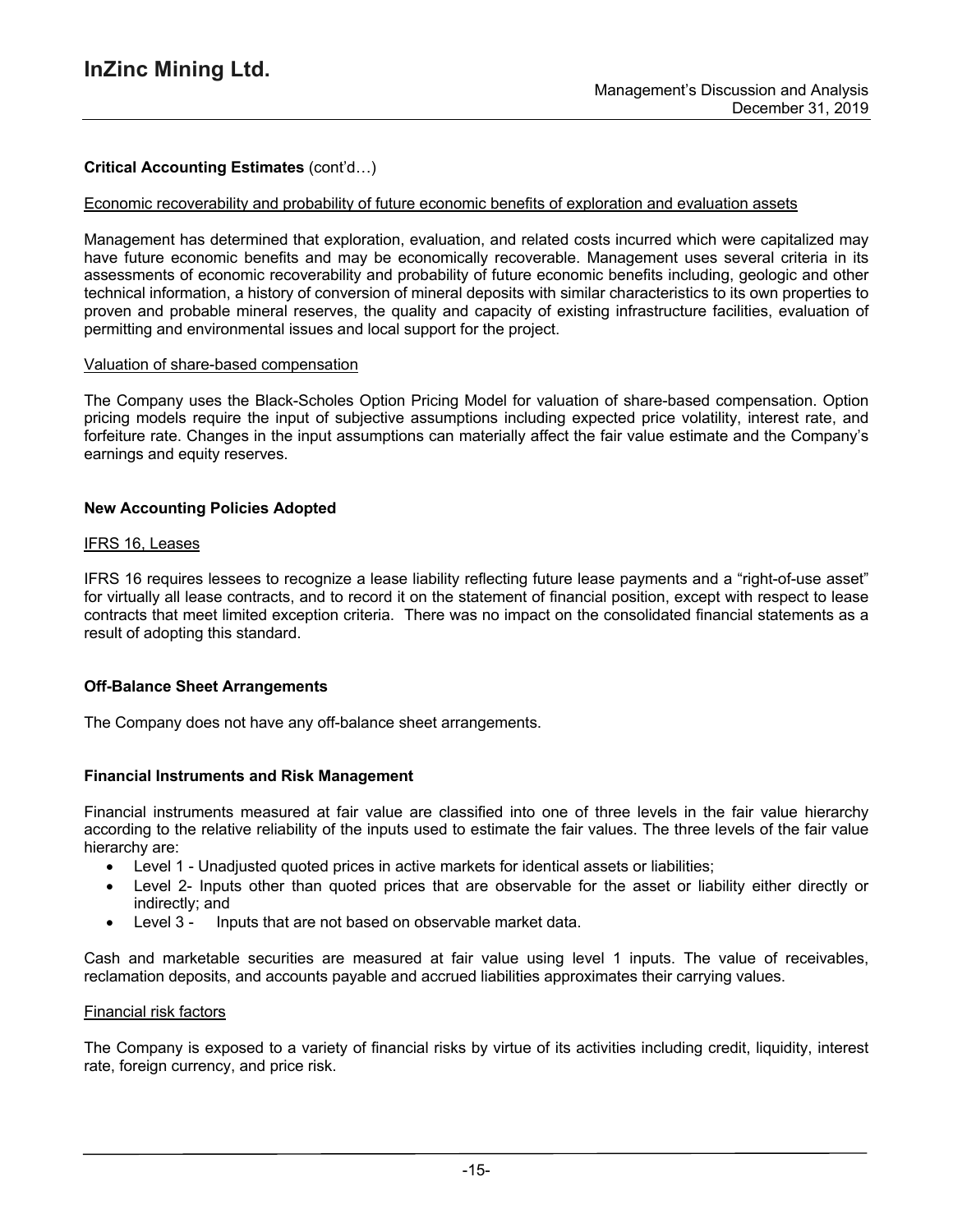## **Critical Accounting Estimates** (cont'd…)

#### Economic recoverability and probability of future economic benefits of exploration and evaluation assets

Management has determined that exploration, evaluation, and related costs incurred which were capitalized may have future economic benefits and may be economically recoverable. Management uses several criteria in its assessments of economic recoverability and probability of future economic benefits including, geologic and other technical information, a history of conversion of mineral deposits with similar characteristics to its own properties to proven and probable mineral reserves, the quality and capacity of existing infrastructure facilities, evaluation of permitting and environmental issues and local support for the project.

#### Valuation of share-based compensation

The Company uses the Black-Scholes Option Pricing Model for valuation of share-based compensation. Option pricing models require the input of subjective assumptions including expected price volatility, interest rate, and forfeiture rate. Changes in the input assumptions can materially affect the fair value estimate and the Company's earnings and equity reserves.

### **New Accounting Policies Adopted**

### IFRS 16, Leases

IFRS 16 requires lessees to recognize a lease liability reflecting future lease payments and a "right-of-use asset" for virtually all lease contracts, and to record it on the statement of financial position, except with respect to lease contracts that meet limited exception criteria. There was no impact on the consolidated financial statements as a result of adopting this standard.

## **Off-Balance Sheet Arrangements**

The Company does not have any off-balance sheet arrangements.

## **Financial Instruments and Risk Management**

Financial instruments measured at fair value are classified into one of three levels in the fair value hierarchy according to the relative reliability of the inputs used to estimate the fair values. The three levels of the fair value hierarchy are:

- Level 1 Unadjusted quoted prices in active markets for identical assets or liabilities;
- Level 2- Inputs other than quoted prices that are observable for the asset or liability either directly or indirectly; and
- Level 3 Inputs that are not based on observable market data.

Cash and marketable securities are measured at fair value using level 1 inputs. The value of receivables, reclamation deposits, and accounts payable and accrued liabilities approximates their carrying values.

#### Financial risk factors

The Company is exposed to a variety of financial risks by virtue of its activities including credit, liquidity, interest rate, foreign currency, and price risk.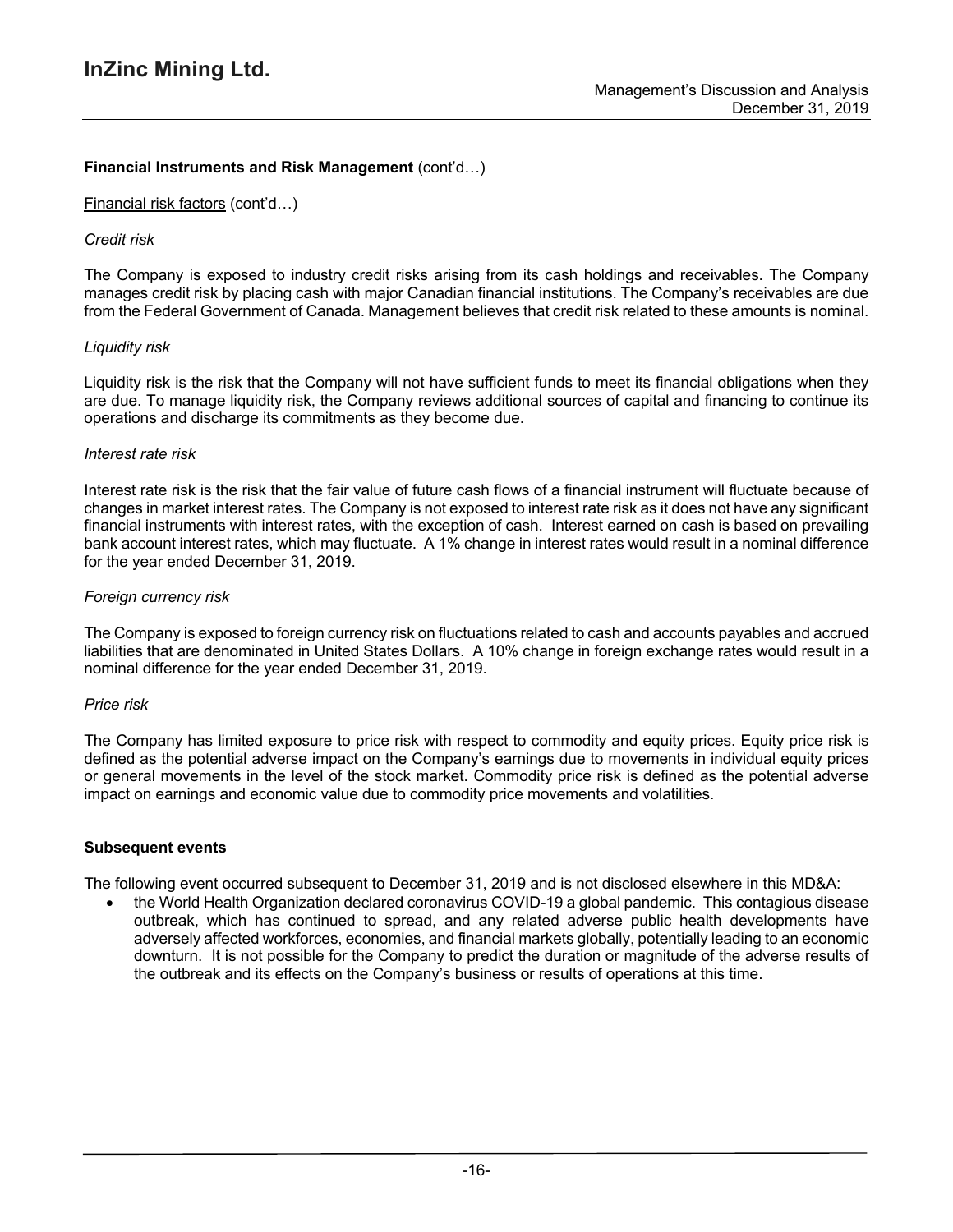## **Financial Instruments and Risk Management** (cont'd…)

### Financial risk factors (cont'd…)

## *Credit risk*

The Company is exposed to industry credit risks arising from its cash holdings and receivables. The Company manages credit risk by placing cash with major Canadian financial institutions. The Company's receivables are due from the Federal Government of Canada. Management believes that credit risk related to these amounts is nominal.

### *Liquidity risk*

Liquidity risk is the risk that the Company will not have sufficient funds to meet its financial obligations when they are due. To manage liquidity risk, the Company reviews additional sources of capital and financing to continue its operations and discharge its commitments as they become due.

### *Interest rate risk*

Interest rate risk is the risk that the fair value of future cash flows of a financial instrument will fluctuate because of changes in market interest rates. The Company is not exposed to interest rate risk as it does not have any significant financial instruments with interest rates, with the exception of cash. Interest earned on cash is based on prevailing bank account interest rates, which may fluctuate. A 1% change in interest rates would result in a nominal difference for the year ended December 31, 2019.

### *Foreign currency risk*

The Company is exposed to foreign currency risk on fluctuations related to cash and accounts payables and accrued liabilities that are denominated in United States Dollars. A 10% change in foreign exchange rates would result in a nominal difference for the year ended December 31, 2019.

#### *Price risk*

The Company has limited exposure to price risk with respect to commodity and equity prices. Equity price risk is defined as the potential adverse impact on the Company's earnings due to movements in individual equity prices or general movements in the level of the stock market. Commodity price risk is defined as the potential adverse impact on earnings and economic value due to commodity price movements and volatilities.

#### **Subsequent events**

The following event occurred subsequent to December 31, 2019 and is not disclosed elsewhere in this MD&A:

• the World Health Organization declared coronavirus COVID-19 a global pandemic. This contagious disease outbreak, which has continued to spread, and any related adverse public health developments have adversely affected workforces, economies, and financial markets globally, potentially leading to an economic downturn. It is not possible for the Company to predict the duration or magnitude of the adverse results of the outbreak and its effects on the Company's business or results of operations at this time.